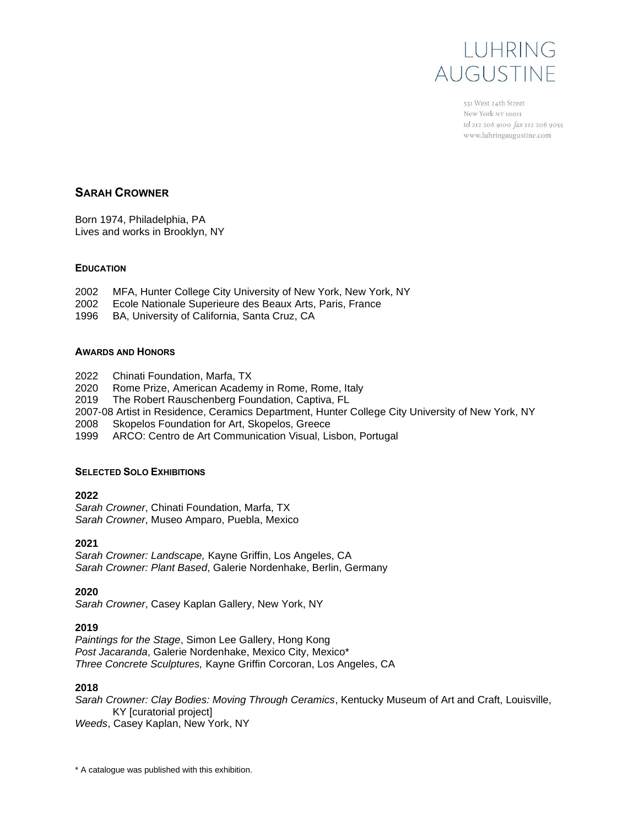

531 West 24th Street New York NY 10011 tel 212 206 9100 fax 212 206 9055 www.luhringaugustine.com

# **SARAH CROWNER**

Born 1974, Philadelphia, PA Lives and works in Brooklyn, NY

## **EDUCATION**

- 2002 MFA, Hunter College City University of New York, New York, NY
- 2002 Ecole Nationale Superieure des Beaux Arts, Paris, France
- 1996 BA, University of California, Santa Cruz, CA

### **AWARDS AND HONORS**

- 2022 Chinati Foundation, Marfa, TX
- 2020 Rome Prize, American Academy in Rome, Rome, Italy
- 2019 The Robert Rauschenberg Foundation, Captiva, FL
- 2007-08 Artist in Residence, Ceramics Department, Hunter College City University of New York, NY
- 2008 Skopelos Foundation for Art, Skopelos, Greece
- 1999 ARCO: Centro de Art Communication Visual, Lisbon, Portugal

### **SELECTED SOLO EXHIBITIONS**

### **2022**

*Sarah Crowner*, Chinati Foundation, Marfa, TX *Sarah Crowner*, Museo Amparo, Puebla, Mexico

### **2021**

*Sarah Crowner: Landscape,* Kayne Griffin, Los Angeles, CA *Sarah Crowner: Plant Based*, Galerie Nordenhake, Berlin, Germany

### **2020**

*Sarah Crowner*, Casey Kaplan Gallery, New York, NY

### **2019**

*Paintings for the Stage*, Simon Lee Gallery, Hong Kong *Post Jacaranda*, Galerie Nordenhake, Mexico City, Mexico\* *Three Concrete Sculptures,* Kayne Griffin Corcoran, Los Angeles, CA

### **2018**

*Sarah Crowner: Clay Bodies: Moving Through Ceramics*, Kentucky Museum of Art and Craft, Louisville, KY [curatorial project] *Weeds*, Casey Kaplan, New York, NY

<sup>\*</sup> A catalogue was published with this exhibition.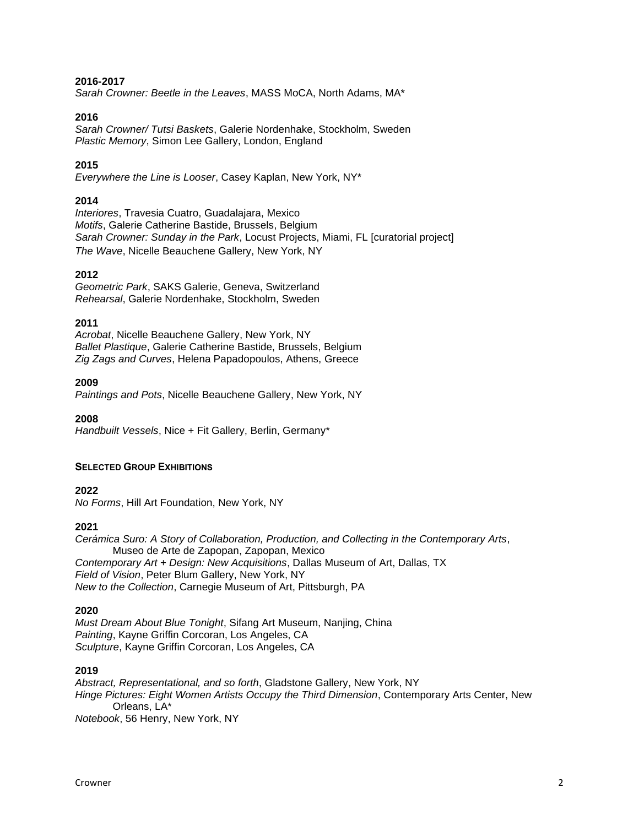### **2016-2017**

*Sarah Crowner: Beetle in the Leaves*, MASS MoCA, North Adams, MA\*

### **2016**

*Sarah Crowner/ Tutsi Baskets*, Galerie Nordenhake, Stockholm, Sweden *Plastic Memory*, Simon Lee Gallery, London, England

### **2015**

*Everywhere the Line is Looser*, Casey Kaplan, New York, NY\*

### **2014**

*Interiores*, Travesia Cuatro, Guadalajara, Mexico *Motifs*, Galerie Catherine Bastide, Brussels, Belgium *Sarah Crowner: Sunday in the Park*, Locust Projects, Miami, FL [curatorial project] *The Wave*, Nicelle Beauchene Gallery, New York, NY

### **2012**

*Geometric Park*, SAKS Galerie, Geneva, Switzerland *Rehearsal*, Galerie Nordenhake, Stockholm, Sweden

### **2011**

*Acrobat*, Nicelle Beauchene Gallery, New York, NY *Ballet Plastique*, Galerie Catherine Bastide, Brussels, Belgium *Zig Zags and Curves*, Helena Papadopoulos, Athens, Greece

### **2009**

*Paintings and Pots*, Nicelle Beauchene Gallery, New York, NY

**2008** *Handbuilt Vessels*, Nice + Fit Gallery, Berlin, Germany\*

### **SELECTED GROUP EXHIBITIONS**

**2022**

*No Forms*, Hill Art Foundation, New York, NY

### **2021**

*Cerámica Suro: A Story of Collaboration, Production, and Collecting in the Contemporary Arts*, Museo de Arte de Zapopan, Zapopan, Mexico *Contemporary Art + Design: New Acquisitions*, Dallas Museum of Art, Dallas, TX *Field of Vision*, Peter Blum Gallery, New York, NY *New to the Collection*, Carnegie Museum of Art, Pittsburgh, PA

### **2020**

*Must Dream About Blue Tonight*, Sifang Art Museum, Nanjing, China *Painting*, Kayne Griffin Corcoran, Los Angeles, CA *Sculpture*, Kayne Griffin Corcoran, Los Angeles, CA

# **2019**

*Abstract, Representational, and so forth*, Gladstone Gallery, New York, NY *Hinge Pictures: Eight Women Artists Occupy the Third Dimension*, Contemporary Arts Center, New Orleans, LA\*

*Notebook*, 56 Henry, New York, NY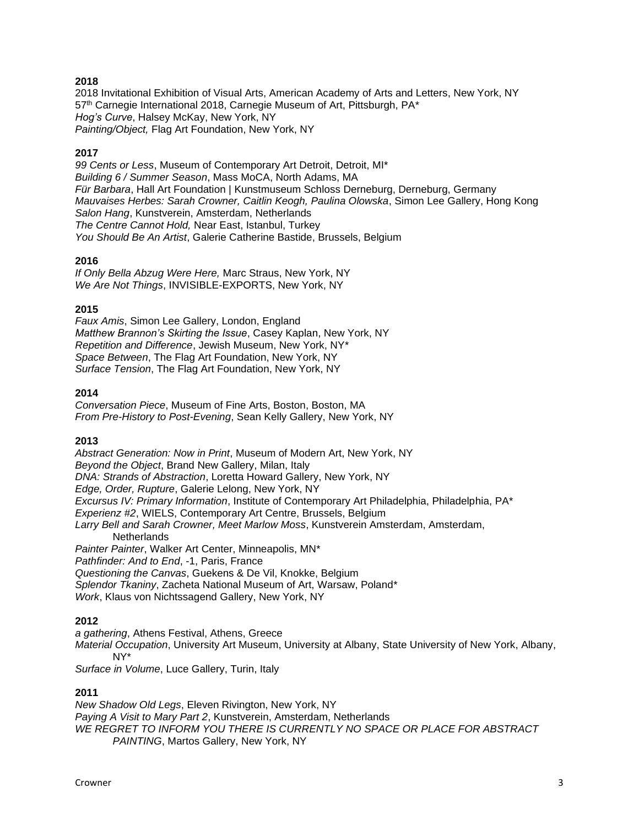2018 Invitational Exhibition of Visual Arts, American Academy of Arts and Letters, New York, NY 57th Carnegie International 2018, Carnegie Museum of Art, Pittsburgh, PA\* *Hog's Curve*, Halsey McKay, New York, NY *Painting/Object,* Flag Art Foundation, New York, NY

# **2017**

*99 Cents or Less*, Museum of Contemporary Art Detroit, Detroit, MI\* *Building 6 / Summer Season*, Mass MoCA, North Adams, MA *Für Barbara*, Hall Art Foundation | Kunstmuseum Schloss Derneburg, Derneburg, Germany *Mauvaises Herbes: Sarah Crowner, Caitlin Keogh, Paulina Olowska*, Simon Lee Gallery, Hong Kong *Salon Hang*, Kunstverein, Amsterdam, Netherlands *The Centre Cannot Hold,* Near East, Istanbul, Turkey *You Should Be An Artist*, Galerie Catherine Bastide, Brussels, Belgium

## **2016**

*If Only Bella Abzug Were Here,* Marc Straus, New York, NY *We Are Not Things*, INVISIBLE-EXPORTS, New York, NY

## **2015**

*Faux Amis*, Simon Lee Gallery, London, England *Matthew Brannon's Skirting the Issue*, Casey Kaplan, New York, NY *Repetition and Difference*, Jewish Museum, New York, NY\* *Space Between*, The Flag Art Foundation, New York, NY *Surface Tension*, The Flag Art Foundation, New York, NY

## **2014**

*Conversation Piece*, Museum of Fine Arts, Boston, Boston, MA *From Pre-History to Post-Evening*, Sean Kelly Gallery, New York, NY

# **2013**

*Abstract Generation: Now in Print*, Museum of Modern Art, New York, NY *Beyond the Object*, Brand New Gallery, Milan, Italy *DNA: Strands of Abstraction*, Loretta Howard Gallery, New York, NY *Edge, Order, Rupture*, Galerie Lelong, New York, NY *Excursus IV: Primary Information*, Institute of Contemporary Art Philadelphia, Philadelphia, PA\* *Experienz #2*, WIELS, Contemporary Art Centre, Brussels, Belgium *Larry Bell and Sarah Crowner, Meet Marlow Moss*, Kunstverein Amsterdam, Amsterdam, **Netherlands** *Painter Painter*, Walker Art Center, Minneapolis, MN\* *Pathfinder: And to End*, -1, Paris, France *Questioning the Canvas*, Guekens & De Vil, Knokke, Belgium *Splendor Tkaniny*, Zacheta National Museum of Art, Warsaw, Poland\*

*Work*, Klaus von Nichtssagend Gallery, New York, NY

# **2012**

*a gathering*, Athens Festival, Athens, Greece *Material Occupation*, University Art Museum, University at Albany, State University of New York, Albany, NY\*

*Surface in Volume*, Luce Gallery, Turin, Italy

### **2011**

*New Shadow Old Legs*, Eleven Rivington, New York, NY *Paying A Visit to Mary Part 2*, Kunstverein, Amsterdam, Netherlands *WE REGRET TO INFORM YOU THERE IS CURRENTLY NO SPACE OR PLACE FOR ABSTRACT PAINTING*, Martos Gallery, New York, NY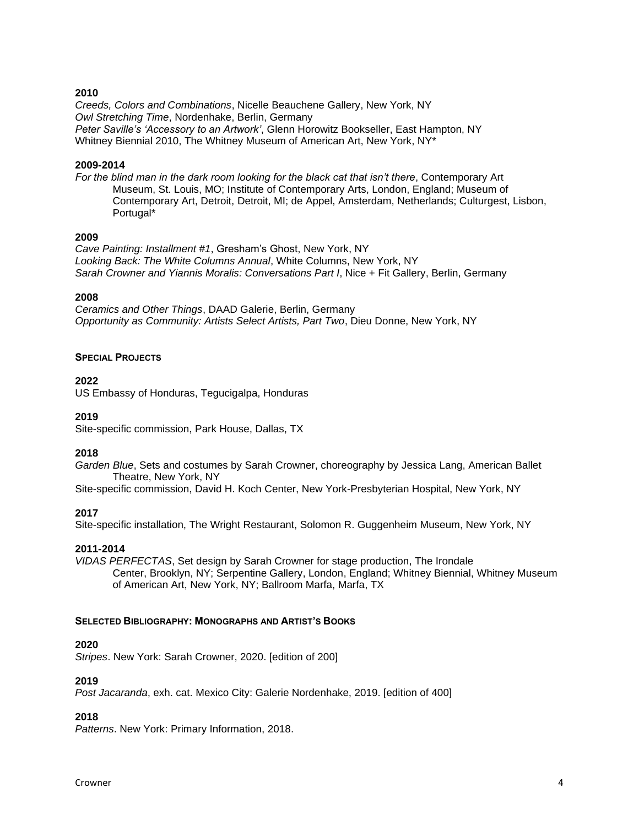*Creeds, Colors and Combinations*, Nicelle Beauchene Gallery, New York, NY *Owl Stretching Time*, Nordenhake, Berlin, Germany *Peter Saville's 'Accessory to an Artwork'*, Glenn Horowitz Bookseller, East Hampton, NY Whitney Biennial 2010, The Whitney Museum of American Art, New York, NY\*

### **2009-2014**

*For the blind man in the dark room looking for the black cat that isn't there*, Contemporary Art Museum, St. Louis, MO; Institute of Contemporary Arts, London, England; Museum of Contemporary Art, Detroit, Detroit, MI; de Appel, Amsterdam, Netherlands; Culturgest, Lisbon, Portugal\*

### **2009**

*Cave Painting: Installment #1*, Gresham's Ghost, New York, NY *Looking Back: The White Columns Annual*, White Columns, New York, NY *Sarah Crowner and Yiannis Moralis: Conversations Part I*, Nice + Fit Gallery, Berlin, Germany

## **2008**

*Ceramics and Other Things*, DAAD Galerie, Berlin, Germany *Opportunity as Community: Artists Select Artists, Part Two*, Dieu Donne, New York, NY

### **SPECIAL PROJECTS**

# **2022**

US Embassy of Honduras, Tegucigalpa, Honduras

# **2019**

Site-specific commission, Park House, Dallas, TX

# **2018**

*Garden Blue*, Sets and costumes by Sarah Crowner, choreography by Jessica Lang, American Ballet Theatre, New York, NY

Site-specific commission, David H. Koch Center, New York-Presbyterian Hospital, New York, NY

# **2017**

Site-specific installation, The Wright Restaurant, Solomon R. Guggenheim Museum, New York, NY

### **2011-2014**

*VIDAS PERFECTAS*, Set design by Sarah Crowner for stage production, The Irondale Center, Brooklyn, NY; Serpentine Gallery, London, England; Whitney Biennial, Whitney Museum of American Art, New York, NY; Ballroom Marfa, Marfa, TX

### **SELECTED BIBLIOGRAPHY: MONOGRAPHS AND ARTIST'S BOOKS**

### **2020**

*Stripes*. New York: Sarah Crowner, 2020. [edition of 200]

### **2019**

*Post Jacaranda*, exh. cat. Mexico City: Galerie Nordenhake, 2019. [edition of 400]

# **2018**

*Patterns*. New York: Primary Information, 2018.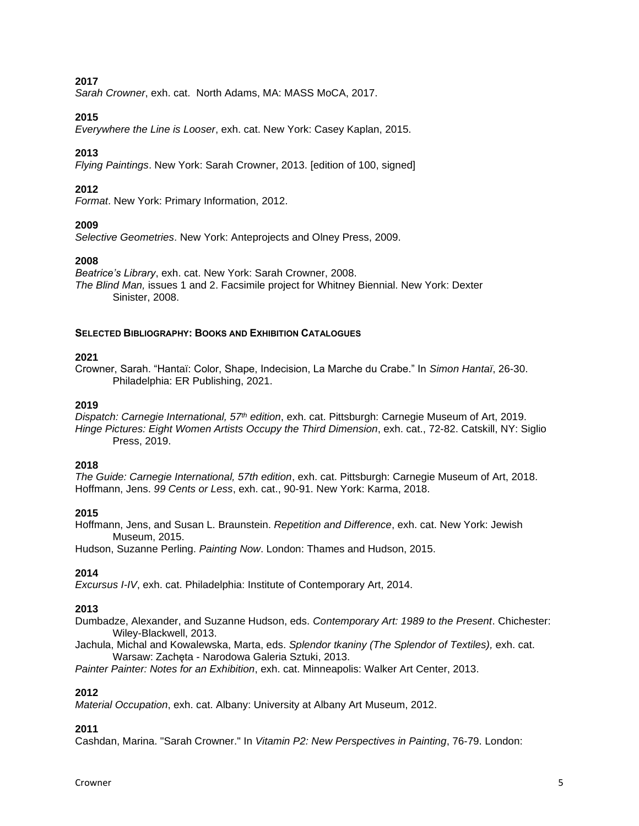*Sarah Crowner*, exh. cat. North Adams, MA: MASS MoCA, 2017.

### **2015**

*Everywhere the Line is Looser*, exh. cat. New York: Casey Kaplan, 2015.

# **2013**

*Flying Paintings*. New York: Sarah Crowner, 2013. [edition of 100, signed]

# **2012**

*Format*. New York: Primary Information, 2012.

## **2009**

*Selective Geometries*. New York: Anteprojects and Olney Press, 2009.

### **2008**

*Beatrice's Library*, exh. cat. New York: Sarah Crowner, 2008. *The Blind Man,* issues 1 and 2. Facsimile project for Whitney Biennial. New York: Dexter Sinister, 2008.

### **SELECTED BIBLIOGRAPHY: BOOKS AND EXHIBITION CATALOGUES**

### **2021**

Crowner, Sarah. "Hantaï: Color, Shape, Indecision, La Marche du Crabe." In *Simon Hantaï*, 26-30. Philadelphia: ER Publishing, 2021.

## **2019**

*Dispatch: Carnegie International, 57th edition*, exh. cat. Pittsburgh: Carnegie Museum of Art, 2019. *Hinge Pictures: Eight Women Artists Occupy the Third Dimension*, exh. cat., 72-82. Catskill, NY: Siglio Press, 2019.

### **2018**

*The Guide: Carnegie International, 57th edition*, exh. cat. Pittsburgh: Carnegie Museum of Art, 2018. Hoffmann, Jens. *99 Cents or Less*, exh. cat., 90-91. New York: Karma, 2018.

# **2015**

Hoffmann, Jens, and Susan L. Braunstein. *Repetition and Difference*, exh. cat. New York: Jewish Museum, 2015.

Hudson, Suzanne Perling. *Painting Now*. London: Thames and Hudson, 2015.

# **2014**

*Excursus I-IV*, exh. cat. Philadelphia: Institute of Contemporary Art, 2014.

# **2013**

Dumbadze, Alexander, and Suzanne Hudson, eds. *Contemporary Art: 1989 to the Present*. Chichester: Wiley-Blackwell, 2013.

Jachula, Michal and Kowalewska, Marta, eds. *Splendor tkaniny (The Splendor of Textiles),* exh. cat. Warsaw: Zachęta - Narodowa Galeria Sztuki, 2013.

*Painter Painter: Notes for an Exhibition*, exh. cat. Minneapolis: Walker Art Center, 2013.

### **2012**

*Material Occupation*, exh. cat. Albany: University at Albany Art Museum, 2012.

## **2011**

Cashdan, Marina. "Sarah Crowner." In *Vitamin P2: New Perspectives in Painting*, 76-79. London: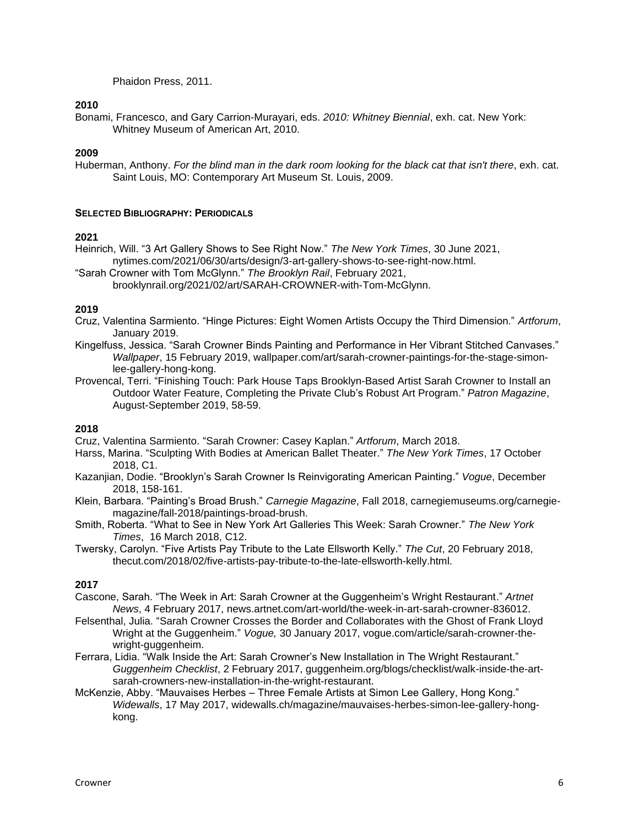Phaidon Press, 2011.

## **2010**

Bonami, Francesco, and Gary Carrion-Murayari, eds. *2010: Whitney Biennial*, exh. cat. New York: Whitney Museum of American Art, 2010.

# **2009**

Huberman, Anthony. *For the blind man in the dark room looking for the black cat that isn't there*, exh. cat. Saint Louis, MO: Contemporary Art Museum St. Louis, 2009.

## **SELECTED BIBLIOGRAPHY: PERIODICALS**

# **2021**

Heinrich, Will. "3 Art Gallery Shows to See Right Now." *The New York Times*, 30 June 2021, nytimes.com/2021/06/30/arts/design/3-art-gallery-shows-to-see-right-now.html.

"Sarah Crowner with Tom McGlynn." *The Brooklyn Rail*, February 2021, brooklynrail.org/2021/02/art/SARAH-CROWNER-with-Tom-McGlynn.

## **2019**

- Cruz, Valentina Sarmiento. "Hinge Pictures: Eight Women Artists Occupy the Third Dimension." *Artforum*, January 2019.
- Kingelfuss, Jessica. "Sarah Crowner Binds Painting and Performance in Her Vibrant Stitched Canvases." *Wallpaper*, 15 February 2019, wallpaper.com/art/sarah-crowner-paintings-for-the-stage-simonlee-gallery-hong-kong.
- Provencal, Terri. "Finishing Touch: Park House Taps Brooklyn-Based Artist Sarah Crowner to Install an Outdoor Water Feature, Completing the Private Club's Robust Art Program." *Patron Magazine*, August-September 2019, 58-59.

# **2018**

Cruz, Valentina Sarmiento. "Sarah Crowner: Casey Kaplan." *Artforum*, March 2018.

- Harss, Marina. "Sculpting With Bodies at American Ballet Theater." *The New York Times*, 17 October 2018, C1.
- Kazanjian, Dodie. "Brooklyn's Sarah Crowner Is Reinvigorating American Painting." *Vogue*, December 2018, 158-161.
- Klein, Barbara. "Painting's Broad Brush." *Carnegie Magazine*, Fall 2018, carnegiemuseums.org/carnegiemagazine/fall-2018/paintings-broad-brush.
- Smith, Roberta. "What to See in New York Art Galleries This Week: Sarah Crowner." *The New York Times*, 16 March 2018, C12.
- Twersky, Carolyn. "Five Artists Pay Tribute to the Late Ellsworth Kelly." *The Cut*, 20 February 2018, thecut.com/2018/02/five-artists-pay-tribute-to-the-late-ellsworth-kelly.html.

# **2017**

- Cascone, Sarah. "The Week in Art: Sarah Crowner at the Guggenheim's Wright Restaurant." *Artnet News*, 4 February 2017, news.artnet.com/art-world/the-week-in-art-sarah-crowner-836012.
- Felsenthal, Julia. "Sarah Crowner Crosses the Border and Collaborates with the Ghost of Frank Lloyd Wright at the Guggenheim." *Vogue,* 30 January 2017, vogue.com/article/sarah-crowner-thewright-guggenheim.
- Ferrara, Lidia. "Walk Inside the Art: Sarah Crowner's New Installation in The Wright Restaurant." *Guggenheim Checklist*, 2 February 2017, guggenheim.org/blogs/checklist/walk-inside-the-artsarah-crowners-new-installation-in-the-wright-restaurant.
- McKenzie, Abby. "Mauvaises Herbes Three Female Artists at Simon Lee Gallery, Hong Kong." *Widewalls*, 17 May 2017, widewalls.ch/magazine/mauvaises-herbes-simon-lee-gallery-hongkong.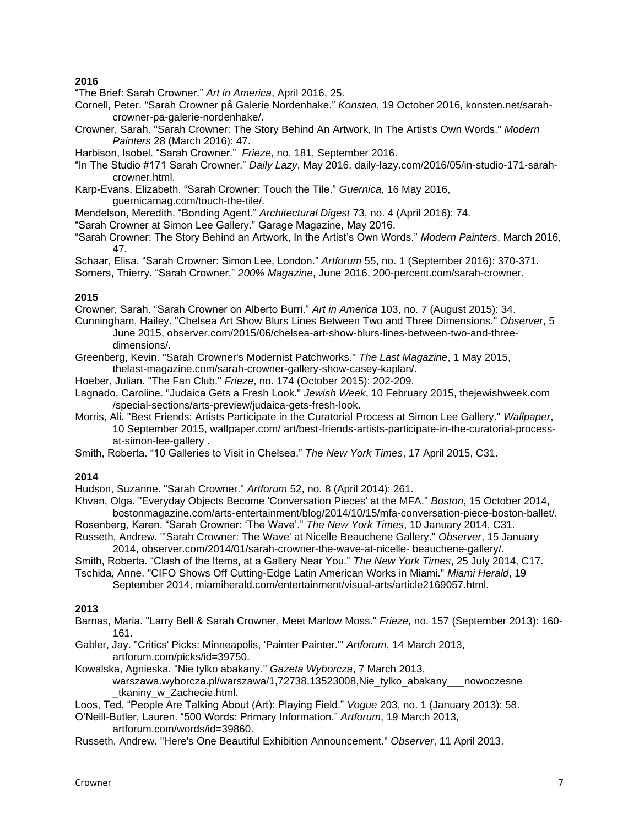"The Brief: Sarah Crowner." *Art in America*, April 2016, 25.

- Cornell, Peter. "Sarah Crowner på Galerie Nordenhake." *Konsten*, 19 October 2016, konsten.net/sarahcrowner-pa-galerie-nordenhake/.
- Crowner, Sarah. "Sarah Crowner: The Story Behind An Artwork, In The Artist's Own Words." *Modern Painters* 28 (March 2016): 47.

Harbison, Isobel. "Sarah Crowner." *Frieze*, no. 181, September 2016.

- "In The Studio #171 Sarah Crowner." *Daily Lazy*, May 2016, daily-lazy.com/2016/05/in-studio-171-sarahcrowner.html.
- Karp-Evans, Elizabeth. "Sarah Crowner: Touch the Tile." *Guernica*, 16 May 2016, guernicamag.com/touch-the-tile/.
- Mendelson, Meredith. "Bonding Agent." *Architectural Digest* 73, no. 4 (April 2016): 74.
- "Sarah Crowner at Simon Lee Gallery." Garage Magazine, May 2016.
- "Sarah Crowner: The Story Behind an Artwork, In the Artist's Own Words." *Modern Painters*, March 2016, 47.
- Schaar, Elisa. "Sarah Crowner: Simon Lee, London." *Artforum* 55, no. 1 (September 2016): 370-371.
- Somers, Thierry. "Sarah Crowner." *200% Magazine*, June 2016, 200-percent.com/sarah-crowner.

### **2015**

Crowner, Sarah. "Sarah Crowner on Alberto Burri." *Art in America* 103, no. 7 (August 2015): 34.

- Cunningham, Hailey. "Chelsea Art Show Blurs Lines Between Two and Three Dimensions." *Observer*, 5 June 2015, observer.com/2015/06/chelsea-art-show-blurs-lines-between-two-and-threedimensions/.
- Greenberg, Kevin. "Sarah Crowner's Modernist Patchworks." *The Last Magazine*, 1 May 2015, thelast-magazine.com/sarah-crowner-gallery-show-casey-kaplan/.
- Hoeber, Julian. "The Fan Club." *Frieze*, no. 174 (October 2015): 202-209.
- Lagnado, Caroline. "Judaica Gets a Fresh Look." *Jewish Week*, 10 February 2015, thejewishweek.com /special-sections/arts-preview/judaica-gets-fresh-look.
- Morris, Ali. "Best Friends: Artists Participate in the Curatorial Process at Simon Lee Gallery." *Wallpaper*, 10 September 2015, walIpaper.com/ art/best-friends-artists-participate-in-the-curatorial-processat-simon-lee-gallery .
- Smith, Roberta. "10 Galleries to Visit in Chelsea." *The New York Times*, 17 April 2015, C31.

### **2014**

Hudson, Suzanne. "Sarah Crowner." *Artforum* 52, no. 8 (April 2014): 261.

Khvan, Olga. "Everyday Objects Become 'Conversation Pieces' at the MFA." *Boston*, 15 October 2014, bostonmagazine.com/arts-entertainment/blog/2014/10/15/mfa-conversation-piece-boston-ballet/.

Rosenberg, Karen. "Sarah Crowner: 'The Wave'." *The New York Times*, 10 January 2014, C31. Russeth, Andrew. "'Sarah Crowner: The Wave' at Nicelle Beauchene Gallery." *Observer*, 15 January

2014, observer.com/2014/01/sarah-crowner-the-wave-at-nicelle- beauchene-gallery/.

Smith, Roberta. "Clash of the Items, at a Gallery Near You." *The New York Times*, 25 July 2014, C17.

Tschida, Anne. "CIFO Shows Off Cutting-Edge Latin American Works in Miami." *Miami Herald*, 19 September 2014, miamiherald.com/entertainment/visual-arts/article2169057.html.

# **2013**

- Barnas, Maria. "Larry Bell & Sarah Crowner, Meet Marlow Moss." *Frieze,* no. 157 (September 2013): 160- 161.
- Gabler, Jay. "Critics' Picks: Minneapolis, 'Painter Painter."' *Artforum*, 14 March 2013, artforum.com/picks/id=39750.
- Kowalska, Agnieska. "Nie tylko abakany." *Gazeta Wyborcza*, 7 March 2013, warszawa.wyborcza.pl/warszawa/1,72738,13523008,Nie\_tylko\_abakany\_\_\_nowoczesne \_tkaniny\_w\_Zachecie.html.

Loos, Ted. "People Are Talking About (Art): Playing Field." *Vogue* 203, no. 1 (January 2013): 58.

- O'Neill-Butler, Lauren. "500 Words: Primary Information." *Artforum*, 19 March 2013, artforum.com/words/id=39860.
- Russeth, Andrew. "Here's One Beautiful Exhibition Announcement." *Observer*, 11 April 2013.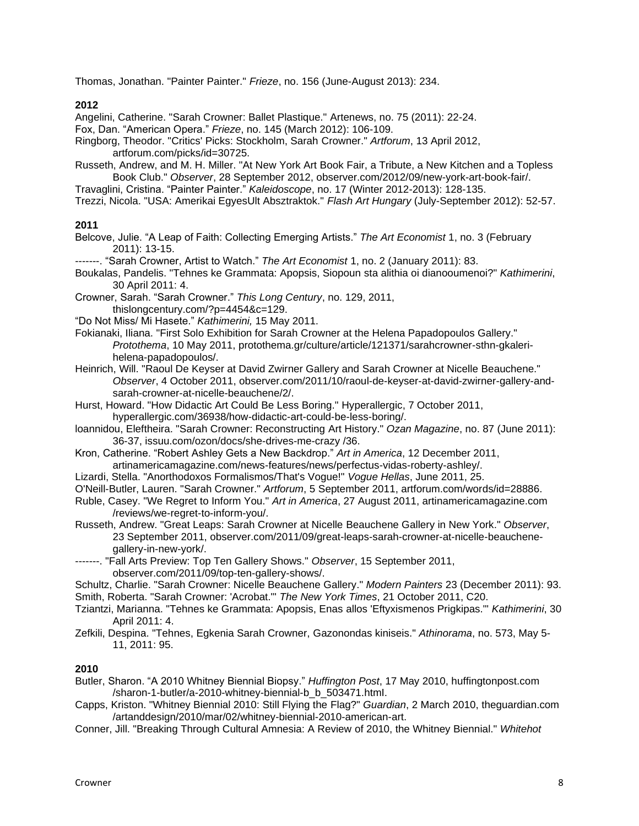Thomas, Jonathan. "Painter Painter." *Frieze*, no. 156 (June-August 2013): 234.

## **2012**

Angelini, Catherine. "Sarah Crowner: Ballet Plastique." Artenews, no. 75 (2011): 22-24.

Fox, Dan. "American Opera." *Frieze*, no. 145 (March 2012): 106-109.

- Ringborg, Theodor. "Critics' Picks: Stockholm, Sarah Crowner." *Artforum*, 13 April 2012, artforum.com/picks/id=30725.
- Russeth, Andrew, and M. H. Miller. "At New York Art Book Fair, a Tribute, a New Kitchen and a Topless Book Club." *Observer*, 28 September 2012, observer.com/2012/09/new-york-art-book-fair/.
- Travaglini, Cristina. "Painter Painter." *Kaleidoscope*, no. 17 (Winter 2012-2013): 128-135.

Trezzi, Nicola. "USA: Amerikai EgyesUlt Absztraktok." *Flash Art Hungary* (July-September 2012): 52-57.

## **2011**

Belcove, Julie. "A Leap of Faith: Collecting Emerging Artists." *The Art Economist* 1, no. 3 (February 2011): 13-15.

--. "Sarah Crowner, Artist to Watch." *The Art Economist* 1, no. 2 (January 2011): 83.

- Boukalas, Pandelis. "Tehnes ke Grammata: Apopsis, Siopoun sta alithia oi dianooumenoi?" *Kathimerini*, 30 April 2011: 4.
- Crowner, Sarah. "Sarah Crowner." *This Long Century*, no. 129, 2011, thislongcentury.com/?p=4454&c=129.
- "Do Not Miss/ Mi Hasete." *Kathimerini,* 15 May 2011.
- Fokianaki, Iliana. "First Solo Exhibition for Sarah Crowner at the Helena Papadopoulos Gallery." *Protothema*, 10 May 2011, protothema.gr/culture/article/121371/sarahcrowner-sthn-gkalerihelena-papadopoulos/.
- Heinrich, Will. "Raoul De Keyser at David Zwirner Gallery and Sarah Crowner at Nicelle Beauchene." *Observer*, 4 October 2011, observer.com/2011/10/raoul-de-keyser-at-david-zwirner-gallery-andsarah-crowner-at-nicelle-beauchene/2/.
- Hurst, Howard. "How Didactic Art Could Be Less Boring." Hyperallergic, 7 October 2011, hyperallergic.com/36938/how-didactic-art-could-be-less-boring/.
- loannidou, Eleftheira. "Sarah Crowner: Reconstructing Art History." *Ozan Magazine*, no. 87 (June 2011): 36-37, issuu.com/ozon/docs/she-drives-me-crazy /36.
- Kron, Catherine. "Robert Ashley Gets a New Backdrop." *Art in America*, 12 December 2011, artinamericamagazine.com/news-features/news/perfectus-vidas-roberty-ashley/.
- Lizardi, Stella. "Anorthodoxos Formalismos/That's Vogue!" *Vogue Hellas*, June 2011, 25.
- O'Neill-Butler, Lauren. "Sarah Crowner." *Artforum*, 5 September 2011, artforum.com/words/id=28886.
- Ruble, Casey. "We Regret to Inform You." *Art in America*, 27 August 2011, artinamericamagazine.com /reviews/we-regret-to-inform-you/.
- Russeth, Andrew. "Great Leaps: Sarah Crowner at Nicelle Beauchene Gallery in New York." *Observer*, 23 September 2011, observer.com/2011/09/great-leaps-sarah-crowner-at-nicelle-beauchenegallery-in-new-york/.

-------. "Fall Arts Preview: Top Ten Gallery Shows." *Observer*, 15 September 2011, observer.com/2011/09/top-ten-gallery-shows/.

- Schultz, Charlie. "Sarah Crowner: Nicelle Beauchene Gallery." *Modern Painters* 23 (December 2011): 93. Smith, Roberta. "Sarah Crowner: 'Acrobat."' *The New York Times*, 21 October 2011, C20.
- Tziantzi, Marianna. "Tehnes ke Grammata: Apopsis, Enas allos 'Eftyxismenos Prigkipas."' *Kathimerini*, 30 April 2011: 4.
- Zefkili, Despina. "Tehnes, Egkenia Sarah Crowner, Gazonondas kiniseis." *Athinorama*, no. 573, May 5- 11, 2011: 95.

### **2010**

- Butler, Sharon. "A 2010 Whitney Biennial Biopsy." *Huffington Post*, 17 May 2010, huffingtonpost.com /sharon-1-butler/a-2010-whitney-biennial-b\_b\_503471.htmI.
- Capps, Kriston. "Whitney Biennial 2010: Still Flying the Flag?" *Guardian*, 2 March 2010, theguardian.com /artanddesign/2010/mar/02/whitney-biennial-2010-american-art.
- Conner, Jill. "Breaking Through Cultural Amnesia: A Review of 2010, the Whitney Biennial." *Whitehot*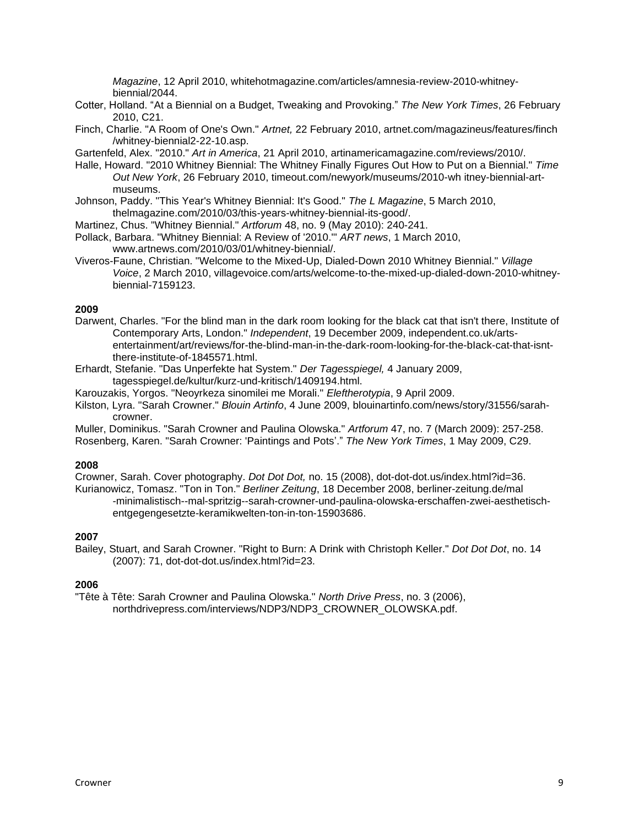*Magazine*, 12 April 2010, whitehotmagazine.com/articles/amnesia-review-2010-whitneybiennial/2044.

- Cotter, Holland. "At a Biennial on a Budget, Tweaking and Provoking." *The New York Times*, 26 February 2010, C21.
- Finch, Charlie. "A Room of One's Own." *Artnet,* 22 February 2010, artnet.com/magazineus/features/finch /whitney-biennial2-22-10.asp.

Gartenfeld, Alex. "2010." *Art in America*, 21 April 2010, artinamericamagazine.com/reviews/2010/.

- Halle, Howard. "2010 Whitney Biennial: The Whitney Finally Figures Out How to Put on a Biennial." *Time Out New York*, 26 February 2010, timeout.com/newyork/museums/2010-wh itney-biennial-artmuseums.
- Johnson, Paddy. "This Year's Whitney Biennial: It's Good." *The L Magazine*, 5 March 2010, thelmagazine.com/2010/03/this-years-whitney-biennial-its-good/.
- Martinez, Chus. "Whitney Biennial." *Artforum* 48, no. 9 (May 2010): 240-241.
- Pollack, Barbara. "Whitney Biennial: A Review of '2010."' *ART news*, 1 March 2010, www.artnews.com/2010/03/01/whitney-biennial/.
- Viveros-Faune, Christian. "Welcome to the Mixed-Up, Dialed-Down 2010 Whitney Biennial." *Village Voice*, 2 March 2010, villagevoice.com/arts/welcome-to-the-mixed-up-dialed-down-2010-whitneybiennial-7159123.

## **2009**

Darwent, Charles. "For the blind man in the dark room looking for the black cat that isn't there, Institute of Contemporary Arts, London." *Independent*, 19 December 2009, independent.co.uk/artsentertainment/art/reviews/for-the-bIind-man-in-the-dark-room-looking-for-the-bIack-cat-that-isntthere-institute-of-1845571.html.

Erhardt, Stefanie. "Das Unperfekte hat System." *Der Tagesspiegel,* 4 January 2009, tagesspiegel.de/kultur/kurz-und-kritisch/1409194.html.

Karouzakis, Yorgos. "Neoyrkeza sinomilei me Morali." *Eleftherotypia*, 9 April 2009.

Kilston, Lyra. "Sarah Crowner." *Blouin Artinfo*, 4 June 2009, blouinartinfo.com/news/story/31556/sarahcrowner.

Muller, Dominikus. "Sarah Crowner and Paulina Olowska." *Artforum* 47, no. 7 (March 2009): 257-258. Rosenberg, Karen. "Sarah Crowner: 'Paintings and Pots'." *The New York Times*, 1 May 2009, C29.

### **2008**

Crowner, Sarah. Cover photography. *Dot Dot Dot,* no. 15 (2008), dot-dot-dot.us/index.html?id=36.

Kurianowicz, Tomasz. "Ton in Ton." *Berliner Zeitung*, 18 December 2008, berliner-zeitung.de/mal -minimalistisch--mal-spritzig--sarah-crowner-und-paulina-olowska-erschaffen-zwei-aesthetischentgegengesetzte-keramikwelten-ton-in-ton-15903686.

### **2007**

Bailey, Stuart, and Sarah Crowner. "Right to Burn: A Drink with Christoph Keller." *Dot Dot Dot*, no. 14 (2007): 71, dot-dot-dot.us/index.html?id=23.

# **2006**

"Tête à Tête: Sarah Crowner and Paulina Olowska." *North Drive Press*, no. 3 (2006), northdrivepress.com/interviews/NDP3/NDP3\_CROWNER\_OLOWSKA.pdf.